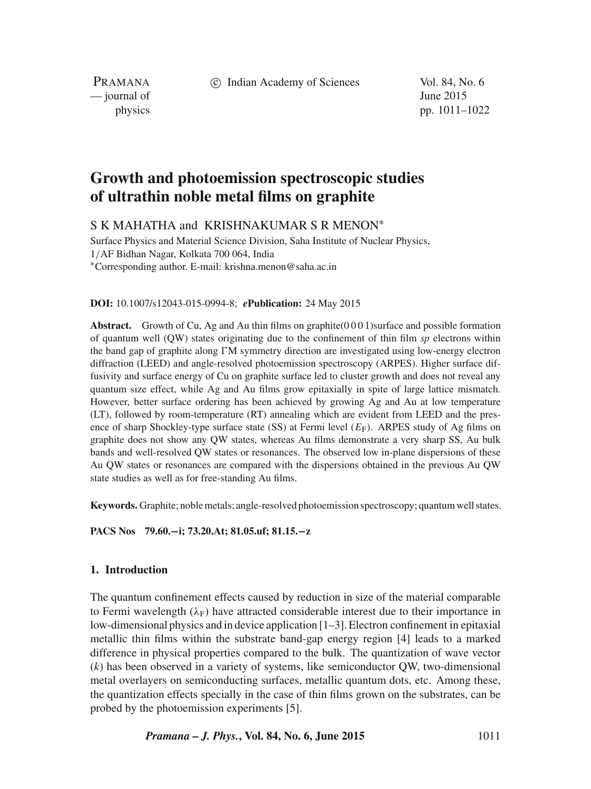c Indian Academy of Sciences Vol. 84, No. 6

PRAMANA  $\frac{1}{2}$  journal of June 2015

physics pp. 1011–1022

# **Growth and photoemission spectroscopic studies of ultrathin noble metal films on graphite**

S K MAHATHA and KRISHNAKUMAR S R MENON<sup>\*</sup>

Surface Physics and Material Science Division, Saha Institute of Nuclear Physics, 1/AF Bidhan Nagar, Kolkata 700 064, India ∗Corresponding author. E-mail: krishna.menon@saha.ac.in

#### **DOI:** 10.1007/s12043-015-0994-8; *e***Publication:** 24 May 2015

**Abstract.** Growth of Cu, Ag and Au thin films on graphite(0 0 0 1)surface and possible formation of quantum well (QW) states originating due to the confinement of thin film *sp* electrons within the band gap of graphite along  $\Gamma M$  symmetry direction are investigated using low-energy electron diffraction (LEED) and angle-resolved photoemission spectroscopy (ARPES). Higher surface diffusivity and surface energy of Cu on graphite surface led to cluster growth and does not reveal any quantum size effect, while Ag and Au films grow epitaxially in spite of large lattice mismatch. However, better surface ordering has been achieved by growing Ag and Au at low temperature (LT), followed by room-temperature (RT) annealing which are evident from LEED and the presence of sharp Shockley-type surface state (SS) at Fermi level  $(E_F)$ . ARPES study of Ag films on graphite does not show any QW states, whereas Au films demonstrate a very sharp SS, Au bulk bands and well-resolved QW states or resonances. The observed low in-plane dispersions of these Au QW states or resonances are compared with the dispersions obtained in the previous Au QW state studies as well as for free-standing Au films.

**Keywords.** Graphite; noble metals; angle-resolved photoemission spectroscopy; quantum well states.

**PACS Nos 79.60.−i; 73.20.At; 81.05.uf; 81.15.−z**

# **1. Introduction**

The quantum confinement effects caused by reduction in size of the material comparable to Fermi wavelength  $(\lambda_F)$  have attracted considerable interest due to their importance in low-dimensional physics and in device application [1–3]. Electron confinement in epitaxial metallic thin films within the substrate band-gap energy region [4] leads to a marked difference in physical properties compared to the bulk. The quantization of wave vector (*k*) has been observed in a variety of systems, like semiconductor QW, two-dimensional metal overlayers on semiconducting surfaces, metallic quantum dots, etc. Among these, the quantization effects specially in the case of thin films grown on the substrates, can be probed by the photoemission experiments [5].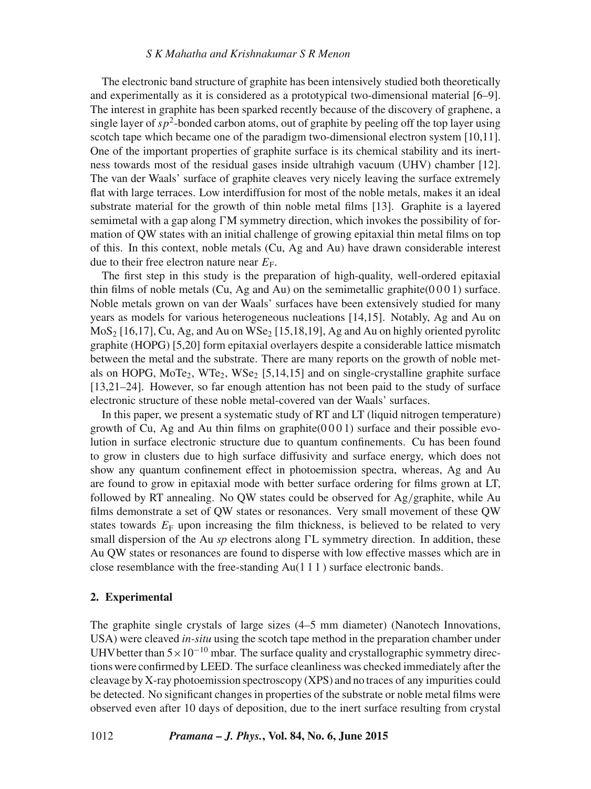The electronic band structure of graphite has been intensively studied both theoretically and experimentally as it is considered as a prototypical two-dimensional material [6–9]. The interest in graphite has been sparked recently because of the discovery of graphene, a single layer of  $sp^2$ -bonded carbon atoms, out of graphite by peeling off the top layer using scotch tape which became one of the paradigm two-dimensional electron system [10,11]. One of the important properties of graphite surface is its chemical stability and its inertness towards most of the residual gases inside ultrahigh vacuum (UHV) chamber [12]. The van der Waals' surface of graphite cleaves very nicely leaving the surface extremely flat with large terraces. Low interdiffusion for most of the noble metals, makes it an ideal substrate material for the growth of thin noble metal films [13]. Graphite is a layered semimetal with a gap along  $\Gamma M$  symmetry direction, which invokes the possibility of formation of QW states with an initial challenge of growing epitaxial thin metal films on top of this. In this context, noble metals (Cu, Ag and Au) have drawn considerable interest due to their free electron nature near  $E_F$ .

The first step in this study is the preparation of high-quality, well-ordered epitaxial thin films of noble metals (Cu, Ag and Au) on the semimetallic graphite( $0\,0\,0\,1$ ) surface. Noble metals grown on van der Waals' surfaces have been extensively studied for many years as models for various heterogeneous nucleations [14,15]. Notably, Ag and Au on  $MOS<sub>2</sub>$  [16,17], Cu, Ag, and Au on WSe<sub>2</sub> [15,18,19], Ag and Au on highly oriented pyrolitc graphite (HOPG) [5,20] form epitaxial overlayers despite a considerable lattice mismatch between the metal and the substrate. There are many reports on the growth of noble metals on HOPG,  $M_0Te_2$ ,  $WTe_2$ ,  $WSe_2$  [5,14,15] and on single-crystalline graphite surface [13,21–24]. However, so far enough attention has not been paid to the study of surface electronic structure of these noble metal-covered van der Waals' surfaces.

In this paper, we present a systematic study of RT and LT (liquid nitrogen temperature) growth of Cu, Ag and Au thin films on graphite $(0 0 0 1)$  surface and their possible evolution in surface electronic structure due to quantum confinements. Cu has been found to grow in clusters due to high surface diffusivity and surface energy, which does not show any quantum confinement effect in photoemission spectra, whereas, Ag and Au are found to grow in epitaxial mode with better surface ordering for films grown at LT, followed by RT annealing. No QW states could be observed for Ag/graphite, while Au films demonstrate a set of QW states or resonances. Very small movement of these QW states towards  $E_F$  upon increasing the film thickness, is believed to be related to very small dispersion of the Au *sp* electrons along  $\Gamma L$  symmetry direction. In addition, these Au QW states or resonances are found to disperse with low effective masses which are in close resemblance with the free-standing Au(1 1 1 ) surface electronic bands.

## **2. Experimental**

The graphite single crystals of large sizes (4–5 mm diameter) (Nanotech Innovations, USA) were cleaved *in-situ* using the scotch tape method in the preparation chamber under UHV better than  $5 \times 10^{-10}$  mbar. The surface quality and crystallographic symmetry directions were confirmed by LEED. The surface cleanliness was checked immediately after the cleavage by X-ray photoemission spectroscopy (XPS) and no traces of any impurities could be detected. No significant changes in properties of the substrate or noble metal films were observed even after 10 days of deposition, due to the inert surface resulting from crystal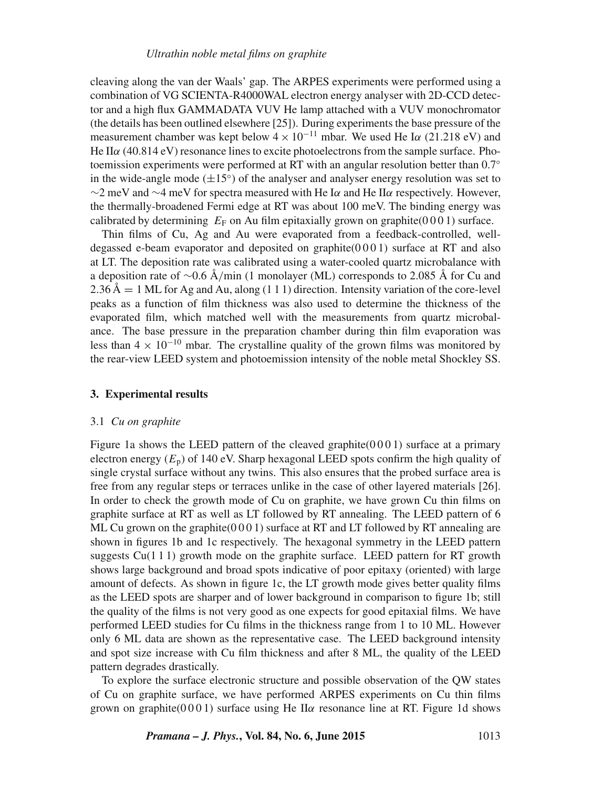#### *Ultrathin noble metal films on graphite*

cleaving along the van der Waals' gap. The ARPES experiments were performed using a combination of VG SCIENTA-R4000WAL electron energy analyser with 2D-CCD detector and a high flux GAMMADATA VUV He lamp attached with a VUV monochromator (the details has been outlined elsewhere [25]). During experiments the base pressure of the measurement chamber was kept below  $4 \times 10^{-11}$  mbar. We used He I $\alpha$  (21.218 eV) and He II $\alpha$  (40.814 eV) resonance lines to excite photoelectrons from the sample surface. Photoemission experiments were performed at RT with an angular resolution better than 0.7<sup>◦</sup> in the wide-angle mode  $(\pm 15^{\circ})$  of the analyser and analyser energy resolution was set to  $\sim$ 2 meV and  $\sim$ 4 meV for spectra measured with He I $\alpha$  and He II $\alpha$  respectively. However, the thermally-broadened Fermi edge at RT was about 100 meV. The binding energy was calibrated by determining  $E_F$  on Au film epitaxially grown on graphite(0001) surface.

Thin films of Cu, Ag and Au were evaporated from a feedback-controlled, welldegassed e-beam evaporator and deposited on graphite(0 0 0 1) surface at RT and also at LT. The deposition rate was calibrated using a water-cooled quartz microbalance with a deposition rate of ∼0.6 Å/min (1 monolayer (ML) corresponds to 2.085 Å for Cu and  $2.36 \text{ Å} = 1 \text{ ML}$  for Ag and Au, along (1 1 1) direction. Intensity variation of the core-level peaks as a function of film thickness was also used to determine the thickness of the evaporated film, which matched well with the measurements from quartz microbalance. The base pressure in the preparation chamber during thin film evaporation was less than  $4 \times 10^{-10}$  mbar. The crystalline quality of the grown films was monitored by the rear-view LEED system and photoemission intensity of the noble metal Shockley SS.

# **3. Experimental results**

#### 3.1 *Cu on graphite*

Figure 1a shows the LEED pattern of the cleaved graphite $(0001)$  surface at a primary electron energy  $(E_p)$  of 140 eV. Sharp hexagonal LEED spots confirm the high quality of single crystal surface without any twins. This also ensures that the probed surface area is free from any regular steps or terraces unlike in the case of other layered materials [26]. In order to check the growth mode of Cu on graphite, we have grown Cu thin films on graphite surface at RT as well as LT followed by RT annealing. The LEED pattern of 6 ML Cu grown on the graphite $(0 0 0 1)$  surface at RT and LT followed by RT annealing are shown in figures 1b and 1c respectively. The hexagonal symmetry in the LEED pattern suggests  $Cu(111)$  growth mode on the graphite surface. LEED pattern for RT growth shows large background and broad spots indicative of poor epitaxy (oriented) with large amount of defects. As shown in figure 1c, the LT growth mode gives better quality films as the LEED spots are sharper and of lower background in comparison to figure 1b; still the quality of the films is not very good as one expects for good epitaxial films. We have performed LEED studies for Cu films in the thickness range from 1 to 10 ML. However only 6 ML data are shown as the representative case. The LEED background intensity and spot size increase with Cu film thickness and after 8 ML, the quality of the LEED pattern degrades drastically.

To explore the surface electronic structure and possible observation of the QW states of Cu on graphite surface, we have performed ARPES experiments on Cu thin films grown on graphite( $0001$ ) surface using He II $\alpha$  resonance line at RT. Figure 1d shows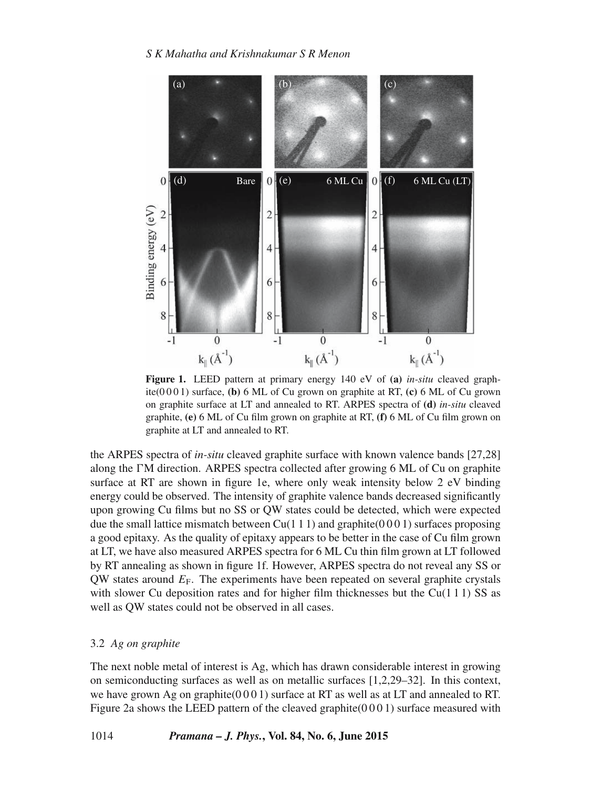

**Figure 1.** LEED pattern at primary energy 140 eV of **(a)** *in-situ* cleaved graphite(0 0 0 1) surface, **(b)** 6 ML of Cu grown on graphite at RT, **(c)** 6 ML of Cu grown on graphite surface at LT and annealed to RT. ARPES spectra of **(d)** *in-situ* cleaved graphite, **(e)** 6 ML of Cu film grown on graphite at RT, **(f)** 6 ML of Cu film grown on graphite at LT and annealed to RT.

the ARPES spectra of *in-situ* cleaved graphite surface with known valence bands [27,28] along the FM direction. ARPES spectra collected after growing 6 ML of Cu on graphite surface at RT are shown in figure 1e, where only weak intensity below 2 eV binding energy could be observed. The intensity of graphite valence bands decreased significantly upon growing Cu films but no SS or QW states could be detected, which were expected due the small lattice mismatch between  $Cu(1\ 1\ 1)$  and graphite( $0\ 0\ 0\ 1$ ) surfaces proposing a good epitaxy. As the quality of epitaxy appears to be better in the case of Cu film grown at LT, we have also measured ARPES spectra for 6 ML Cu thin film grown at LT followed by RT annealing as shown in figure 1f. However, ARPES spectra do not reveal any SS or QW states around  $E_F$ . The experiments have been repeated on several graphite crystals with slower Cu deposition rates and for higher film thicknesses but the Cu(1 1 1) SS as well as QW states could not be observed in all cases.

# 3.2 *Ag on graphite*

The next noble metal of interest is Ag, which has drawn considerable interest in growing on semiconducting surfaces as well as on metallic surfaces [1,2,29–32]. In this context, we have grown Ag on graphite( $0001$ ) surface at RT as well as at LT and annealed to RT. Figure 2a shows the LEED pattern of the cleaved graphite( $0001$ ) surface measured with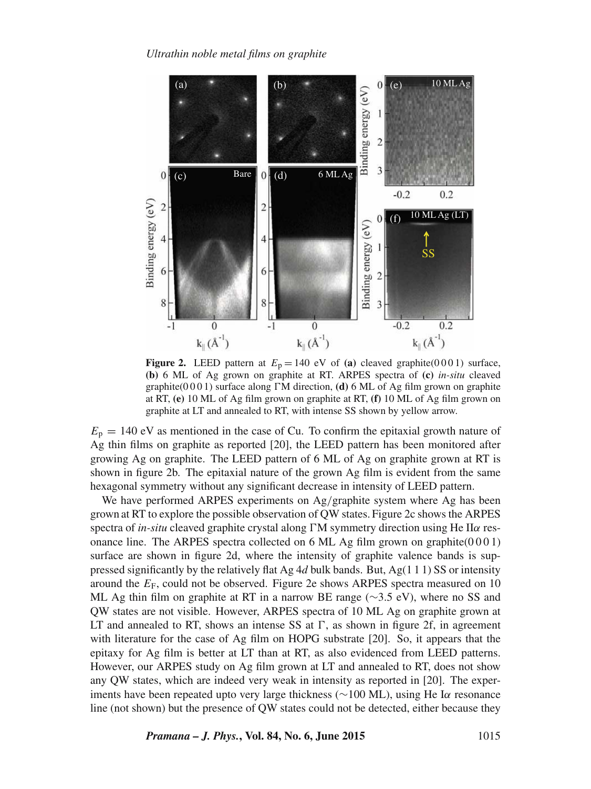

**Figure 2.** LEED pattern at  $E_p = 140$  eV of (a) cleaved graphite(0001) surface, **(b)** 6 ML of Ag grown on graphite at RT. ARPES spectra of **(c)** *in-situ* cleaved graphite( $0001$ ) surface along  $\Gamma M$  direction, (d) 6 ML of Ag film grown on graphite at RT, **(e)** 10 ML of Ag film grown on graphite at RT, **(f)** 10 ML of Ag film grown on graphite at LT and annealed to RT, with intense SS shown by yellow arrow.

 $E_p = 140$  eV as mentioned in the case of Cu. To confirm the epitaxial growth nature of Ag thin films on graphite as reported [20], the LEED pattern has been monitored after growing Ag on graphite. The LEED pattern of 6 ML of Ag on graphite grown at RT is shown in figure 2b. The epitaxial nature of the grown Ag film is evident from the same hexagonal symmetry without any significant decrease in intensity of LEED pattern.

We have performed ARPES experiments on Ag/graphite system where Ag has been grown at RT to explore the possible observation of QW states. Figure 2c shows the ARPES spectra of *in-situ* cleaved graphite crystal along  $\Gamma M$  symmetry direction using He IIa resonance line. The ARPES spectra collected on 6 ML Ag film grown on graphite $(0001)$ surface are shown in figure 2d, where the intensity of graphite valence bands is suppressed significantly by the relatively flat Ag 4*d* bulk bands. But, Ag(1 1 1) SS or intensity around the  $E_F$ , could not be observed. Figure 2e shows ARPES spectra measured on 10 ML Ag thin film on graphite at RT in a narrow BE range ( $\sim$ 3.5 eV), where no SS and QW states are not visible. However, ARPES spectra of 10 ML Ag on graphite grown at LT and annealed to RT, shows an intense SS at  $\Gamma$ , as shown in figure 2f, in agreement with literature for the case of Ag film on HOPG substrate [20]. So, it appears that the epitaxy for Ag film is better at LT than at RT, as also evidenced from LEED patterns. However, our ARPES study on Ag film grown at LT and annealed to RT, does not show any QW states, which are indeed very weak in intensity as reported in [20]. The experiments have been repeated upto very large thickness (∼100 ML), using He Iα resonance line (not shown) but the presence of QW states could not be detected, either because they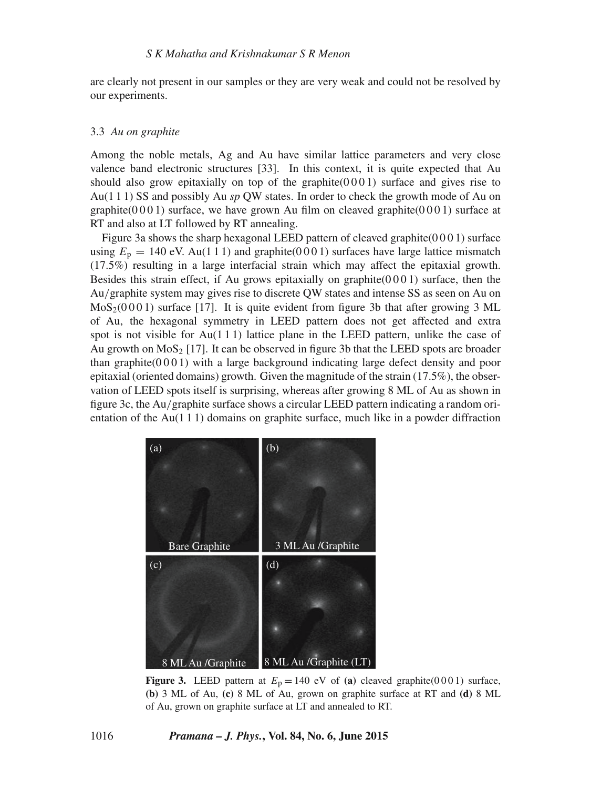are clearly not present in our samples or they are very weak and could not be resolved by our experiments.

# 3.3 *Au on graphite*

Among the noble metals, Ag and Au have similar lattice parameters and very close valence band electronic structures [33]. In this context, it is quite expected that Au should also grow epitaxially on top of the graphite $(0001)$  surface and gives rise to Au(1 1 1) SS and possibly Au *sp* QW states. In order to check the growth mode of Au on graphite( $0001$ ) surface, we have grown Au film on cleaved graphite( $0001$ ) surface at RT and also at LT followed by RT annealing.

Figure 3a shows the sharp hexagonal LEED pattern of cleaved graphite( $0001$ ) surface using  $E_p = 140$  eV. Au(111) and graphite(0001) surfaces have large lattice mismatch (17.5%) resulting in a large interfacial strain which may affect the epitaxial growth. Besides this strain effect, if Au grows epitaxially on graphite $(0001)$  surface, then the Au/graphite system may gives rise to discrete QW states and intense SS as seen on Au on  $MoS<sub>2</sub>(0001)$  surface [17]. It is quite evident from figure 3b that after growing 3 ML of Au, the hexagonal symmetry in LEED pattern does not get affected and extra spot is not visible for  $Au(111)$  lattice plane in the LEED pattern, unlike the case of Au growth on  $MoS<sub>2</sub>$  [17]. It can be observed in figure 3b that the LEED spots are broader than graphite $(0 0 0 1)$  with a large background indicating large defect density and poor epitaxial (oriented domains) growth. Given the magnitude of the strain (17.5%), the observation of LEED spots itself is surprising, whereas after growing 8 ML of Au as shown in figure 3c, the Au/graphite surface shows a circular LEED pattern indicating a random orientation of the Au(1 1 1) domains on graphite surface, much like in a powder diffraction



**Figure 3.** LEED pattern at  $E_p = 140$  eV of (a) cleaved graphite(0001) surface, **(b)** 3 ML of Au, **(c)** 8 ML of Au, grown on graphite surface at RT and **(d)** 8 ML of Au, grown on graphite surface at LT and annealed to RT.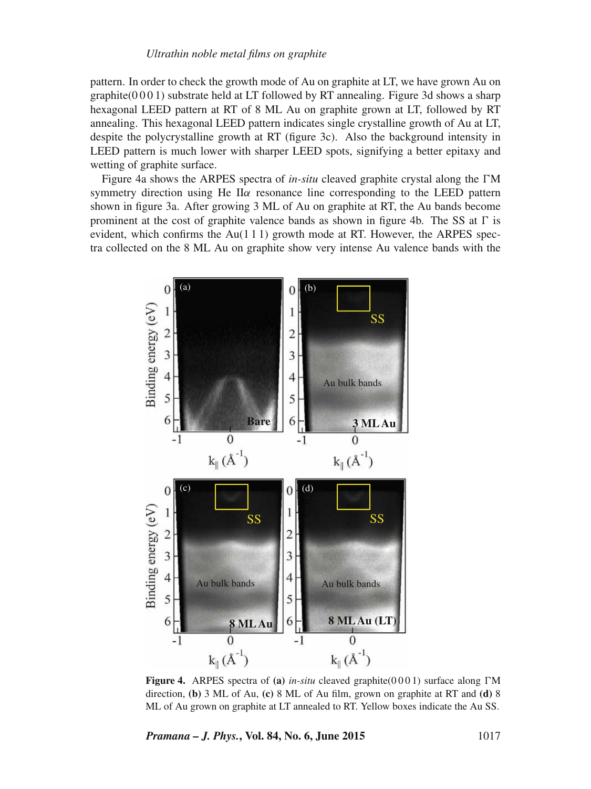#### *Ultrathin noble metal films on graphite*

pattern. In order to check the growth mode of Au on graphite at LT, we have grown Au on  $graphite(0001)$  substrate held at LT followed by RT annealing. Figure 3d shows a sharp hexagonal LEED pattern at RT of 8 ML Au on graphite grown at LT, followed by RT annealing. This hexagonal LEED pattern indicates single crystalline growth of Au at LT, despite the polycrystalline growth at RT (figure 3c). Also the background intensity in LEED pattern is much lower with sharper LEED spots, signifying a better epitaxy and wetting of graphite surface.

Figure 4a shows the ARPES spectra of *in-situ* cleaved graphite crystal along the  $\Gamma M$ symmetry direction using He II $\alpha$  resonance line corresponding to the LEED pattern shown in figure 3a. After growing 3 ML of Au on graphite at RT, the Au bands become prominent at the cost of graphite valence bands as shown in figure 4b. The SS at  $\Gamma$  is evident, which confirms the  $Au(111)$  growth mode at RT. However, the ARPES spectra collected on the 8 ML Au on graphite show very intense Au valence bands with the



**Figure 4.** ARPES spectra of (a) *in-situ* cleaved graphite( $0001$ ) surface along  $\Gamma M$ direction, **(b)** 3 ML of Au, **(c)** 8 ML of Au film, grown on graphite at RT and **(d)** 8 ML of Au grown on graphite at LT annealed to RT. Yellow boxes indicate the Au SS.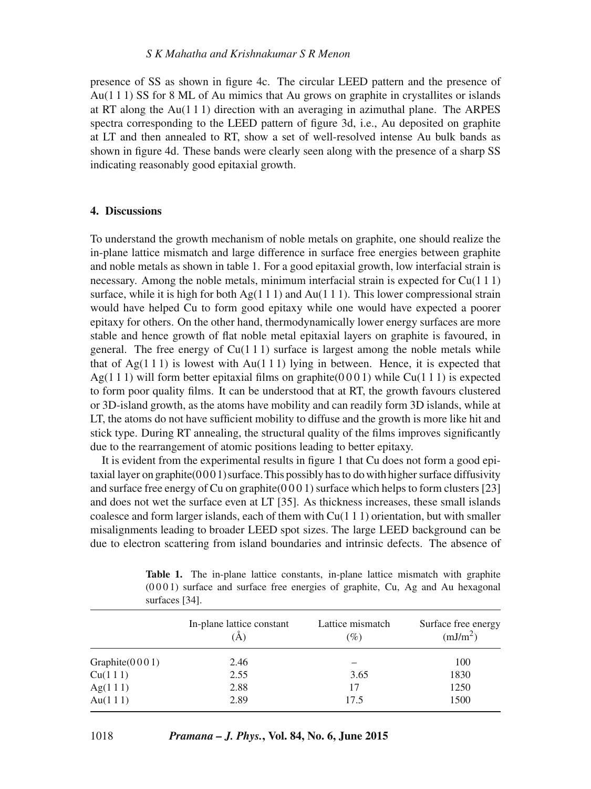presence of SS as shown in figure 4c. The circular LEED pattern and the presence of Au(1 1 1) SS for 8 ML of Au mimics that Au grows on graphite in crystallites or islands at RT along the Au(1 1 1) direction with an averaging in azimuthal plane. The ARPES spectra corresponding to the LEED pattern of figure 3d, i.e., Au deposited on graphite at LT and then annealed to RT, show a set of well-resolved intense Au bulk bands as shown in figure 4d. These bands were clearly seen along with the presence of a sharp SS indicating reasonably good epitaxial growth.

# **4. Discussions**

To understand the growth mechanism of noble metals on graphite, one should realize the in-plane lattice mismatch and large difference in surface free energies between graphite and noble metals as shown in table 1. For a good epitaxial growth, low interfacial strain is necessary. Among the noble metals, minimum interfacial strain is expected for  $Cu(1\ 1\ 1)$ surface, while it is high for both  $Ag(1 1 1)$  and  $Au(1 1 1)$ . This lower compressional strain would have helped Cu to form good epitaxy while one would have expected a poorer epitaxy for others. On the other hand, thermodynamically lower energy surfaces are more stable and hence growth of flat noble metal epitaxial layers on graphite is favoured, in general. The free energy of  $Cu(111)$  surface is largest among the noble metals while that of  $Ag(1\ 1\ 1)$  is lowest with Au(1 1 1) lying in between. Hence, it is expected that Ag(1 1 1) will form better epitaxial films on graphite( $0001$ ) while Cu(1 1 1) is expected to form poor quality films. It can be understood that at RT, the growth favours clustered or 3D-island growth, as the atoms have mobility and can readily form 3D islands, while at LT, the atoms do not have sufficient mobility to diffuse and the growth is more like hit and stick type. During RT annealing, the structural quality of the films improves significantly due to the rearrangement of atomic positions leading to better epitaxy.

It is evident from the experimental results in figure 1 that Cu does not form a good epitaxial layer on graphite $(0001)$  surface. This possibly has to do with higher surface diffusivity and surface free energy of Cu on graphite $(0\,0\,0\,1)$  surface which helps to form clusters [23] and does not wet the surface even at LT [35]. As thickness increases, these small islands coalesce and form larger islands, each of them with  $Cu(1 1 1)$  orientation, but with smaller misalignments leading to broader LEED spot sizes. The large LEED background can be due to electron scattering from island boundaries and intrinsic defects. The absence of

|                   | In-plane lattice constant<br>(Å) | Lattice mismatch<br>$(\%)$ | Surface free energy<br>(mJ/m <sup>2</sup> ) |
|-------------------|----------------------------------|----------------------------|---------------------------------------------|
| Graphite $(0001)$ | 2.46                             |                            | 100                                         |
| Cu(111)           | 2.55                             | 3.65                       | 1830                                        |
| Ag(111)           | 2.88                             | 17                         | 1250                                        |
| Au(111)           | 2.89                             | 17.5                       | 1500                                        |

**Table 1.** The in-plane lattice constants, in-plane lattice mismatch with graphite  $(0 0 0 1)$  surface and surface free energies of graphite, Cu, Ag and Au hexagonal surfaces [34].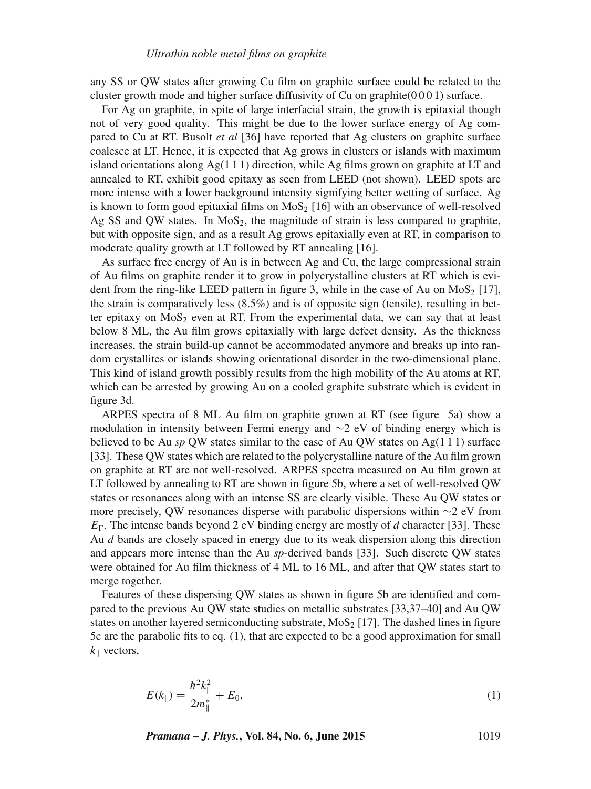any SS or QW states after growing Cu film on graphite surface could be related to the cluster growth mode and higher surface diffusivity of  $Cu$  on graphite( $0\,0\,0\,1$ ) surface.

For Ag on graphite, in spite of large interfacial strain, the growth is epitaxial though not of very good quality. This might be due to the lower surface energy of Ag compared to Cu at RT. Busolt *et al* [36] have reported that Ag clusters on graphite surface coalesce at LT. Hence, it is expected that Ag grows in clusters or islands with maximum island orientations along  $Ag(1\ 1\ 1)$  direction, while Ag films grown on graphite at LT and annealed to RT, exhibit good epitaxy as seen from LEED (not shown). LEED spots are more intense with a lower background intensity signifying better wetting of surface. Ag is known to form good epitaxial films on  $MoS<sub>2</sub>$  [16] with an observance of well-resolved Ag SS and QW states. In  $MoS<sub>2</sub>$ , the magnitude of strain is less compared to graphite, but with opposite sign, and as a result Ag grows epitaxially even at RT, in comparison to moderate quality growth at LT followed by RT annealing [16].

As surface free energy of Au is in between Ag and Cu, the large compressional strain of Au films on graphite render it to grow in polycrystalline clusters at RT which is evident from the ring-like LEED pattern in figure 3, while in the case of Au on MoS<sub>2</sub> [17], the strain is comparatively less  $(8.5\%)$  and is of opposite sign (tensile), resulting in better epitaxy on  $MoS<sub>2</sub>$  even at RT. From the experimental data, we can say that at least below 8 ML, the Au film grows epitaxially with large defect density. As the thickness increases, the strain build-up cannot be accommodated anymore and breaks up into random crystallites or islands showing orientational disorder in the two-dimensional plane. This kind of island growth possibly results from the high mobility of the Au atoms at RT, which can be arrested by growing Au on a cooled graphite substrate which is evident in figure 3d.

ARPES spectra of 8 ML Au film on graphite grown at RT (see figure 5a) show a modulation in intensity between Fermi energy and ∼2 eV of binding energy which is believed to be Au  $sp$  OW states similar to the case of Au OW states on  $Ag(111)$  surface [33]. These QW states which are related to the polycrystalline nature of the Au film grown on graphite at RT are not well-resolved. ARPES spectra measured on Au film grown at LT followed by annealing to RT are shown in figure 5b, where a set of well-resolved QW states or resonances along with an intense SS are clearly visible. These Au QW states or more precisely, QW resonances disperse with parabolic dispersions within ∼2 eV from  $E_F$ . The intense bands beyond 2 eV binding energy are mostly of d character [33]. These Au *d* bands are closely spaced in energy due to its weak dispersion along this direction and appears more intense than the Au *sp*-derived bands [33]. Such discrete QW states were obtained for Au film thickness of 4 ML to 16 ML, and after that QW states start to merge together.

Features of these dispersing QW states as shown in figure 5b are identified and compared to the previous Au QW state studies on metallic substrates [33,37–40] and Au QW states on another layered semiconducting substrate,  $MoS<sub>2</sub>$  [17]. The dashed lines in figure 5c are the parabolic fits to eq. (1), that are expected to be a good approximation for small  $k_{\parallel}$  vectors,

$$
E(k_{\parallel}) = \frac{\hbar^2 k_{\parallel}^2}{2m_{\parallel}^*} + E_0, \tag{1}
$$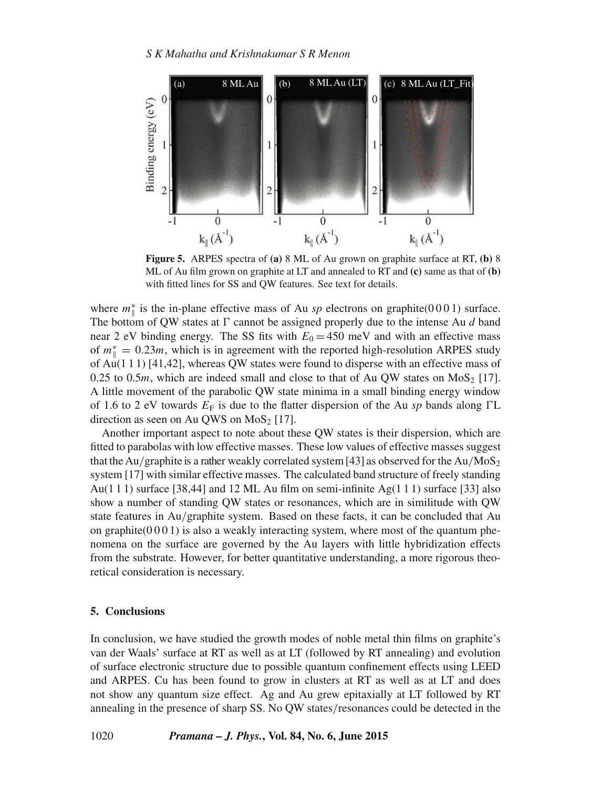

**Figure 5.** ARPES spectra of **(a)** 8 ML of Au grown on graphite surface at RT, **(b)** 8 ML of Au film grown on graphite at LT and annealed to RT and **(c)** same as that of **(b)** with fitted lines for SS and QW features. See text for details.

where  $m^*$  is the in-plane effective mass of Au *sp* electrons on graphite(0001) surface. The bottom of QW states at  $\Gamma$  cannot be assigned properly due to the intense Au  $d$  band near 2 eV binding energy. The SS fits with  $E_0 = 450$  meV and with an effective mass of  $m^*$  = 0.23*m*, which is in agreement with the reported high-resolution ARPES study of Au(1 1 1) [41,42], whereas QW states were found to disperse with an effective mass of 0.25 to 0.5m, which are indeed small and close to that of Au QW states on  $MoS<sub>2</sub>$  [17]. A little movement of the parabolic QW state minima in a small binding energy window of 1.6 to 2 eV towards  $E_F$  is due to the flatter dispersion of the Au *sp* bands along  $\Gamma L$ direction as seen on Au QWS on  $MoS<sub>2</sub>$  [17].

Another important aspect to note about these QW states is their dispersion, which are fitted to parabolas with low effective masses. These low values of effective masses suggest that the Au/graphite is a rather weakly correlated system [43] as observed for the Au/MoS<sub>2</sub> system [17] with similar effective masses. The calculated band structure of freely standing Au(1 1 1) surface [38,44] and 12 ML Au film on semi-infinite Ag(1 1 1) surface [33] also show a number of standing QW states or resonances, which are in similitude with QW state features in Au/graphite system. Based on these facts, it can be concluded that Au on graphite( $0001$ ) is also a weakly interacting system, where most of the quantum phenomena on the surface are governed by the Au layers with little hybridization effects from the substrate. However, for better quantitative understanding, a more rigorous theoretical consideration is necessary.

## **5. Conclusions**

In conclusion, we have studied the growth modes of noble metal thin films on graphite's van der Waals' surface at RT as well as at LT (followed by RT annealing) and evolution of surface electronic structure due to possible quantum confinement effects using LEED and ARPES. Cu has been found to grow in clusters at RT as well as at LT and does not show any quantum size effect. Ag and Au grew epitaxially at LT followed by RT annealing in the presence of sharp SS. No QW states/resonances could be detected in the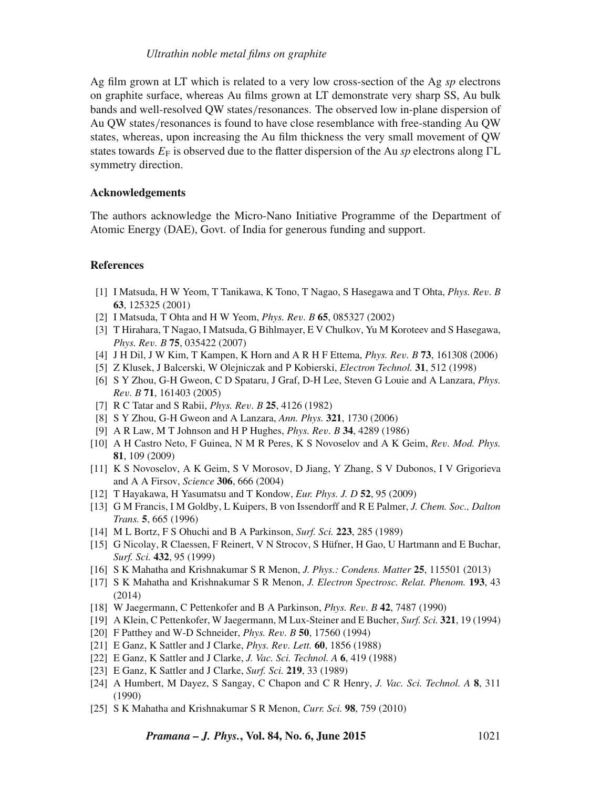## *Ultrathin noble metal films on graphite*

Ag film grown at LT which is related to a very low cross-section of the Ag *sp* electrons on graphite surface, whereas Au films grown at LT demonstrate very sharp SS, Au bulk bands and well-resolved QW states/resonances. The observed low in-plane dispersion of Au QW states/resonances is found to have close resemblance with free-standing Au QW states, whereas, upon increasing the Au film thickness the very small movement of QW states towards  $E_F$  is observed due to the flatter dispersion of the Au *sp* electrons along  $\Gamma L$ symmetry direction.

## **Acknowledgements**

The authors acknowledge the Micro-Nano Initiative Programme of the Department of Atomic Energy (DAE), Govt. of India for generous funding and support.

## **References**

- [1] I Matsuda, H W Yeom, T Tanikawa, K Tono, T Nagao, S Hasegawa and T Ohta, *Phys. Re*v*. B* **63**, 125325 (2001)
- [2] I Matsuda, T Ohta and H W Yeom, *Phys. Re*v*. B* **65**, 085327 (2002)
- [3] T Hirahara, T Nagao, I Matsuda, G Bihlmayer, E V Chulkov, Yu M Koroteev and S Hasegawa, *Phys. Re*v*. B* **75**, 035422 (2007)
- [4] J H Dil, J W Kim, T Kampen, K Horn and A R H F Ettema, *Phys. Re*v*. B* **73**, 161308 (2006)
- [5] Z Klusek, J Balcerski, W Olejniczak and P Kobierski, *Electron Technol.* **31**, 512 (1998)
- [6] S Y Zhou, G-H Gweon, C D Spataru, J Graf, D-H Lee, Steven G Louie and A Lanzara, *Phys. Re*v*. B* **71**, 161403 (2005)
- [7] R C Tatar and S Rabii, *Phys. Re*v*. B* **25**, 4126 (1982)
- [8] S Y Zhou, G-H Gweon and A Lanzara, *Ann. Phys.* **321**, 1730 (2006)
- [9] A R Law, M T Johnson and H P Hughes, *Phys. Re*v*. B* **34**, 4289 (1986)
- [10] A H Castro Neto, F Guinea, N M R Peres, K S Novoselov and A K Geim, *Re*v*. Mod. Phys.* **81**, 109 (2009)
- [11] K S Novoselov, A K Geim, S V Morosov, D Jiang, Y Zhang, S V Dubonos, I V Grigorieva and A A Firsov, *Science* **306**, 666 (2004)
- [12] T Hayakawa, H Yasumatsu and T Kondow, *Eur. Phys. J. D* **52**, 95 (2009)
- [13] G M Francis, I M Goldby, L Kuipers, B von Issendorff and R E Palmer, *J. Chem. Soc., Dalton Trans.* **5**, 665 (1996)
- [14] M L Bortz, F S Ohuchi and B A Parkinson, *Surf. Sci.* **223**, 285 (1989)
- [15] G Nicolay, R Claessen, F Reinert, V N Strocov, S Hüfner, H Gao, U Hartmann and E Buchar, *Surf. Sci.* **432**, 95 (1999)
- [16] S K Mahatha and Krishnakumar S R Menon, *J. Phys.: Condens. Matter* **25**, 115501 (2013)
- [17] S K Mahatha and Krishnakumar S R Menon, *J. Electron Spectrosc. Relat. Phenom.* **193**, 43 (2014)
- [18] W Jaegermann, C Pettenkofer and B A Parkinson, *Phys. Re*v*. B* **42**, 7487 (1990)
- [19] A Klein, C Pettenkofer, W Jaegermann, M Lux-Steiner and E Bucher, *Surf. Sci.* **321**, 19 (1994)
- [20] F Patthey and W-D Schneider, *Phys. Re*v*. B* **50**, 17560 (1994)
- [21] E Ganz, K Sattler and J Clarke, *Phys. Re*v*. Lett.* **60**, 1856 (1988)
- [22] E Ganz, K Sattler and J Clarke, *J. Vac. Sci. Technol. A* **6**, 419 (1988)
- [23] E Ganz, K Sattler and J Clarke, *Surf. Sci.* **219**, 33 (1989)
- [24] A Humbert, M Dayez, S Sangay, C Chapon and C R Henry, *J. Vac. Sci. Technol. A* **8**, 311 (1990)
- [25] S K Mahatha and Krishnakumar S R Menon, *Curr. Sci.* **98**, 759 (2010)